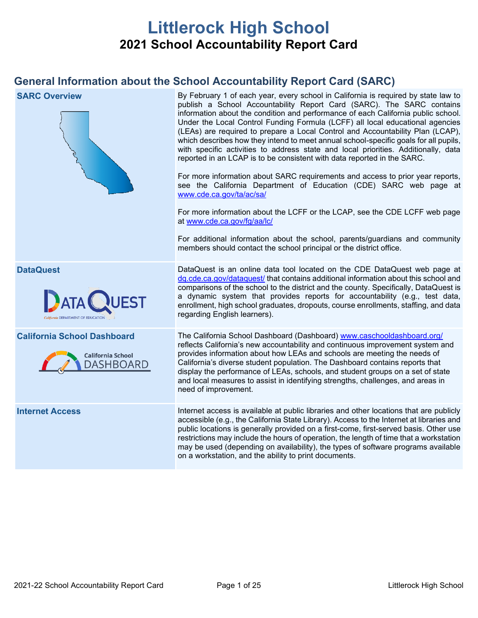# **Littlerock High School 2021 School Accountability Report Card**

# **General Information about the School Accountability Report Card (SARC)**

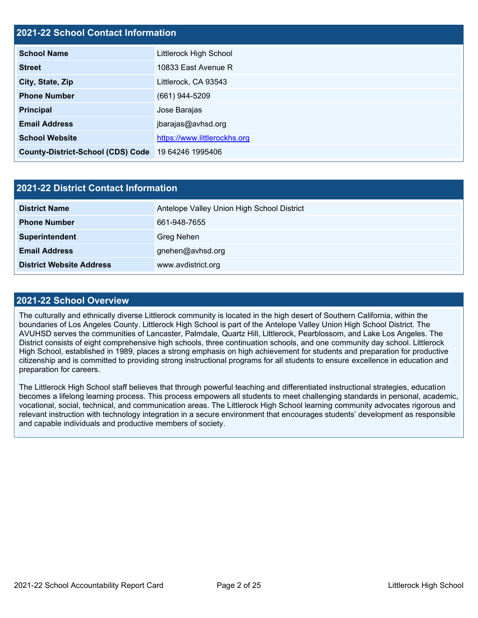# **2021-22 School Contact Information**

| <b>School Name</b>                                 | Littlerock High School       |  |  |  |
|----------------------------------------------------|------------------------------|--|--|--|
| <b>Street</b>                                      | 10833 East Avenue R          |  |  |  |
| City, State, Zip                                   | Littlerock, CA 93543         |  |  |  |
| <b>Phone Number</b>                                | $(661)$ 944-5209             |  |  |  |
| <b>Principal</b>                                   | Jose Barajas                 |  |  |  |
| <b>Email Address</b>                               | jbarajas@avhsd.org           |  |  |  |
| <b>School Website</b>                              | https://www.littlerockhs.org |  |  |  |
| County-District-School (CDS) Code 19 64246 1995406 |                              |  |  |  |

| <b>2021-22 District Contact Information</b> |                                            |  |  |  |
|---------------------------------------------|--------------------------------------------|--|--|--|
| <b>District Name</b>                        | Antelope Valley Union High School District |  |  |  |
| <b>Phone Number</b>                         | 661-948-7655                               |  |  |  |
| Superintendent                              | Greg Nehen                                 |  |  |  |
| <b>Email Address</b>                        | gnehen@avhsd.org                           |  |  |  |
| <b>District Website Address</b>             | www.avdistrict.org                         |  |  |  |

### **2021-22 School Overview**

The culturally and ethnically diverse Littlerock community is located in the high desert of Southern California, within the boundaries of Los Angeles County. Littlerock High School is part of the Antelope Valley Union High School District. The AVUHSD serves the communities of Lancaster, Palmdale, Quartz Hill, Littlerock, Pearblossom, and Lake Los Angeles. The District consists of eight comprehensive high schools, three continuation schools, and one community day school. Littlerock High School, established in 1989, places a strong emphasis on high achievement for students and preparation for productive citizenship and is committed to providing strong instructional programs for all students to ensure excellence in education and preparation for careers.

The Littlerock High School staff believes that through powerful teaching and differentiated instructional strategies, education becomes a lifelong learning process. This process empowers all students to meet challenging standards in personal, academic, vocational, social, technical, and communication areas. The Littlerock High School learning community advocates rigorous and relevant instruction with technology integration in a secure environment that encourages students' development as responsible and capable individuals and productive members of society.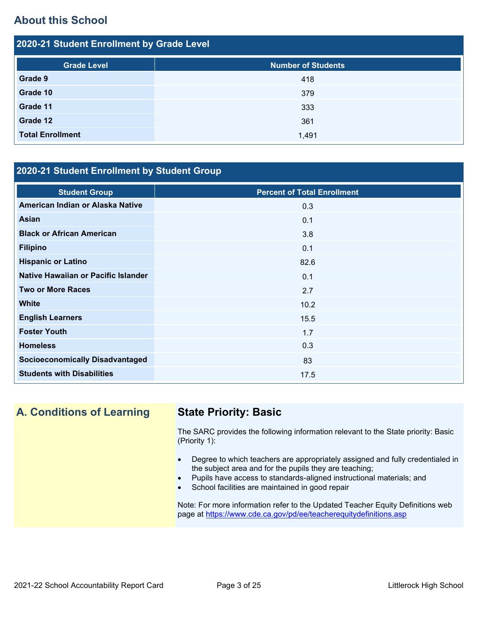# **About this School**

| 2020-21 Student Enrollment by Grade Level |                           |  |  |  |  |
|-------------------------------------------|---------------------------|--|--|--|--|
| <b>Grade Level</b>                        | <b>Number of Students</b> |  |  |  |  |
| Grade 9                                   | 418                       |  |  |  |  |
| Grade 10                                  | 379                       |  |  |  |  |
| Grade 11                                  | 333                       |  |  |  |  |
| Grade 12                                  | 361                       |  |  |  |  |
| <b>Total Enrollment</b>                   | 1,491                     |  |  |  |  |

# **2020-21 Student Enrollment by Student Group**

| <b>Percent of Total Enrollment</b> |
|------------------------------------|
| 0.3                                |
| 0.1                                |
| 3.8                                |
| 0.1                                |
| 82.6                               |
| 0.1                                |
| 2.7                                |
| 10.2                               |
| 15.5                               |
| 1.7                                |
| 0.3                                |
| 83                                 |
| 17.5                               |
|                                    |

# **A. Conditions of Learning State Priority: Basic**

The SARC provides the following information relevant to the State priority: Basic (Priority 1):

- Degree to which teachers are appropriately assigned and fully credentialed in the subject area and for the pupils they are teaching;
- Pupils have access to standards-aligned instructional materials; and
- School facilities are maintained in good repair

Note: For more information refer to the Updated Teacher Equity Definitions web page at<https://www.cde.ca.gov/pd/ee/teacherequitydefinitions.asp>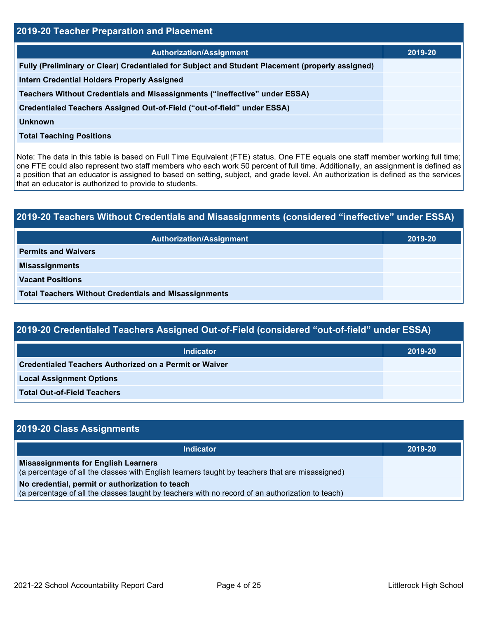| 2019-20 Teacher Preparation and Placement                                                       |         |  |  |  |
|-------------------------------------------------------------------------------------------------|---------|--|--|--|
| <b>Authorization/Assignment</b>                                                                 | 2019-20 |  |  |  |
| Fully (Preliminary or Clear) Credentialed for Subject and Student Placement (properly assigned) |         |  |  |  |
| <b>Intern Credential Holders Properly Assigned</b>                                              |         |  |  |  |
| Teachers Without Credentials and Misassignments ("ineffective" under ESSA)                      |         |  |  |  |
| Credentialed Teachers Assigned Out-of-Field ("out-of-field" under ESSA)                         |         |  |  |  |
| <b>Unknown</b>                                                                                  |         |  |  |  |
| <b>Total Teaching Positions</b>                                                                 |         |  |  |  |

Note: The data in this table is based on Full Time Equivalent (FTE) status. One FTE equals one staff member working full time; one FTE could also represent two staff members who each work 50 percent of full time. Additionally, an assignment is defined as a position that an educator is assigned to based on setting, subject, and grade level. An authorization is defined as the services that an educator is authorized to provide to students.

# **2019-20 Teachers Without Credentials and Misassignments (considered "ineffective" under ESSA) Authorization/Assignment 2019-20 Permits and Waivers Misassignments Vacant Positions Total Teachers Without Credentials and Misassignments**

| 2019-20 Credentialed Teachers Assigned Out-of-Field (considered "out-of-field" under ESSA) |         |  |  |  |
|--------------------------------------------------------------------------------------------|---------|--|--|--|
| <b>Indicator</b>                                                                           | 2019-20 |  |  |  |
| <b>Credentialed Teachers Authorized on a Permit or Waiver</b>                              |         |  |  |  |
| <b>Local Assignment Options</b>                                                            |         |  |  |  |
|                                                                                            |         |  |  |  |

**Total Out-of-Field Teachers**

| 2019-20 Class Assignments                                                                                                                           |         |  |  |  |
|-----------------------------------------------------------------------------------------------------------------------------------------------------|---------|--|--|--|
| <b>Indicator</b>                                                                                                                                    | 2019-20 |  |  |  |
| <b>Misassignments for English Learners</b><br>(a percentage of all the classes with English learners taught by teachers that are misassigned)       |         |  |  |  |
| No credential, permit or authorization to teach<br>(a percentage of all the classes taught by teachers with no record of an authorization to teach) |         |  |  |  |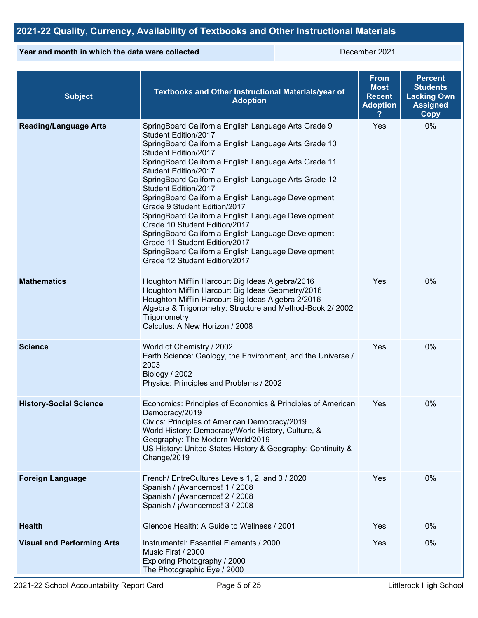# **2021-22 Quality, Currency, Availability of Textbooks and Other Instructional Materials**

### **Year and month in which the data were collected** December 2021

| <b>Subject</b>                    | Textbooks and Other Instructional Materials/year of<br><b>Adoption</b>                                                                                                                                                                                                                                                                                                                                                                                                                                                                                                                                                                                                                         | <b>From</b><br><b>Most</b><br><b>Recent</b><br><b>Adoption</b> | <b>Percent</b><br><b>Students</b><br><b>Lacking Own</b><br><b>Assigned</b><br>Copy |
|-----------------------------------|------------------------------------------------------------------------------------------------------------------------------------------------------------------------------------------------------------------------------------------------------------------------------------------------------------------------------------------------------------------------------------------------------------------------------------------------------------------------------------------------------------------------------------------------------------------------------------------------------------------------------------------------------------------------------------------------|----------------------------------------------------------------|------------------------------------------------------------------------------------|
| <b>Reading/Language Arts</b>      | SpringBoard California English Language Arts Grade 9<br>Student Edition/2017<br>SpringBoard California English Language Arts Grade 10<br>Student Edition/2017<br>SpringBoard California English Language Arts Grade 11<br>Student Edition/2017<br>SpringBoard California English Language Arts Grade 12<br>Student Edition/2017<br>SpringBoard California English Language Development<br>Grade 9 Student Edition/2017<br>SpringBoard California English Language Development<br>Grade 10 Student Edition/2017<br>SpringBoard California English Language Development<br>Grade 11 Student Edition/2017<br>SpringBoard California English Language Development<br>Grade 12 Student Edition/2017 | Yes                                                            | 0%                                                                                 |
| <b>Mathematics</b>                | Houghton Mifflin Harcourt Big Ideas Algebra/2016<br>Houghton Mifflin Harcourt Big Ideas Geometry/2016<br>Houghton Mifflin Harcourt Big Ideas Algebra 2/2016<br>Algebra & Trigonometry: Structure and Method-Book 2/2002<br>Trigonometry<br>Calculus: A New Horizon / 2008                                                                                                                                                                                                                                                                                                                                                                                                                      | Yes                                                            | 0%                                                                                 |
| <b>Science</b>                    | World of Chemistry / 2002<br>Earth Science: Geology, the Environment, and the Universe /<br>2003<br>Biology / 2002<br>Physics: Principles and Problems / 2002                                                                                                                                                                                                                                                                                                                                                                                                                                                                                                                                  | Yes                                                            | 0%                                                                                 |
| <b>History-Social Science</b>     | Economics: Principles of Economics & Principles of American<br>Democracy/2019<br>Civics: Principles of American Democracy/2019<br>World History: Democracy/World History, Culture, &<br>Geography: The Modern World/2019<br>US History: United States History & Geography: Continuity &<br>Change/2019                                                                                                                                                                                                                                                                                                                                                                                         | Yes                                                            | 0%                                                                                 |
| <b>Foreign Language</b>           | French/ EntreCultures Levels 1, 2, and 3 / 2020<br>Spanish / ¡Avancemos! 1 / 2008<br>Spanish / ¡Avancemos! 2 / 2008<br>Spanish / ¡Avancemos! 3 / 2008                                                                                                                                                                                                                                                                                                                                                                                                                                                                                                                                          | Yes                                                            | 0%                                                                                 |
| <b>Health</b>                     | Glencoe Health: A Guide to Wellness / 2001                                                                                                                                                                                                                                                                                                                                                                                                                                                                                                                                                                                                                                                     | Yes                                                            | 0%                                                                                 |
| <b>Visual and Performing Arts</b> | Instrumental: Essential Elements / 2000<br>Music First / 2000<br>Exploring Photography / 2000<br>The Photographic Eye / 2000                                                                                                                                                                                                                                                                                                                                                                                                                                                                                                                                                                   | Yes                                                            | 0%                                                                                 |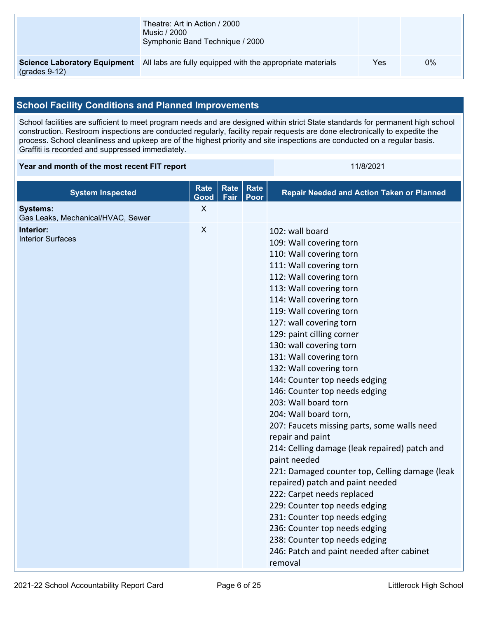|                                | Theatre: Art in Action / 2000<br>Music / 2000<br>Symphonic Band Technique / 2000               |     |    |
|--------------------------------|------------------------------------------------------------------------------------------------|-----|----|
| $\left($ grades 9-12 $\right)$ | <b>Science Laboratory Equipment</b> All labs are fully equipped with the appropriate materials | Yes | 0% |

# **School Facility Conditions and Planned Improvements**

School facilities are sufficient to meet program needs and are designed within strict State standards for permanent high school construction. Restroom inspections are conducted regularly, facility repair requests are done electronically to expedite the process. School cleanliness and upkeep are of the highest priority and site inspections are conducted on a regular basis. Graffiti is recorded and suppressed immediately.

#### **Year and month of the most recent FIT report** 11/8/2021

| <b>System Inspected</b>                              | <b>Rate</b><br>Good | <b>Rate</b><br>Fair | <b>Rate</b><br>Poor | <b>Repair Needed and Action Taken or Planned</b>                                                                                                                                                                                                                                                                                                                                                                                                                                                                                                                                                                                                                                                                                                                                                                                                                                                                             |
|------------------------------------------------------|---------------------|---------------------|---------------------|------------------------------------------------------------------------------------------------------------------------------------------------------------------------------------------------------------------------------------------------------------------------------------------------------------------------------------------------------------------------------------------------------------------------------------------------------------------------------------------------------------------------------------------------------------------------------------------------------------------------------------------------------------------------------------------------------------------------------------------------------------------------------------------------------------------------------------------------------------------------------------------------------------------------------|
| <b>Systems:</b><br>Gas Leaks, Mechanical/HVAC, Sewer | X                   |                     |                     |                                                                                                                                                                                                                                                                                                                                                                                                                                                                                                                                                                                                                                                                                                                                                                                                                                                                                                                              |
| Interior:<br><b>Interior Surfaces</b>                | $\mathsf{X}$        |                     |                     | 102: wall board<br>109: Wall covering torn<br>110: Wall covering torn<br>111: Wall covering torn<br>112: Wall covering torn<br>113: Wall covering torn<br>114: Wall covering torn<br>119: Wall covering torn<br>127: wall covering torn<br>129: paint cilling corner<br>130: wall covering torn<br>131: Wall covering torn<br>132: Wall covering torn<br>144: Counter top needs edging<br>146: Counter top needs edging<br>203: Wall board torn<br>204: Wall board torn,<br>207: Faucets missing parts, some walls need<br>repair and paint<br>214: Celling damage (leak repaired) patch and<br>paint needed<br>221: Damaged counter top, Celling damage (leak<br>repaired) patch and paint needed<br>222: Carpet needs replaced<br>229: Counter top needs edging<br>231: Counter top needs edging<br>236: Counter top needs edging<br>238: Counter top needs edging<br>246: Patch and paint needed after cabinet<br>removal |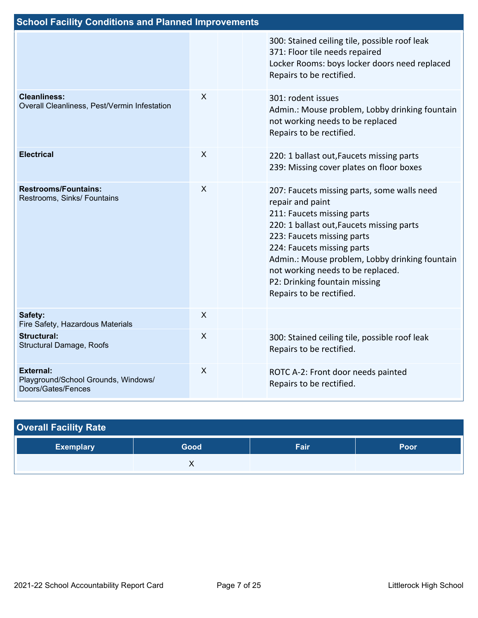| <b>School Facility Conditions and Planned Improvements</b>                    |              |  |                                                                                                                                                                                                                                                                                                                                                            |  |  |  |
|-------------------------------------------------------------------------------|--------------|--|------------------------------------------------------------------------------------------------------------------------------------------------------------------------------------------------------------------------------------------------------------------------------------------------------------------------------------------------------------|--|--|--|
|                                                                               |              |  | 300: Stained ceiling tile, possible roof leak<br>371: Floor tile needs repaired<br>Locker Rooms: boys locker doors need replaced<br>Repairs to be rectified.                                                                                                                                                                                               |  |  |  |
| <b>Cleanliness:</b><br>Overall Cleanliness, Pest/Vermin Infestation           | X            |  | 301: rodent issues<br>Admin.: Mouse problem, Lobby drinking fountain<br>not working needs to be replaced<br>Repairs to be rectified.                                                                                                                                                                                                                       |  |  |  |
| <b>Electrical</b>                                                             | $\mathsf{X}$ |  | 220: 1 ballast out, Faucets missing parts<br>239: Missing cover plates on floor boxes                                                                                                                                                                                                                                                                      |  |  |  |
| <b>Restrooms/Fountains:</b><br>Restrooms, Sinks/ Fountains                    | $\sf X$      |  | 207: Faucets missing parts, some walls need<br>repair and paint<br>211: Faucets missing parts<br>220: 1 ballast out, Faucets missing parts<br>223: Faucets missing parts<br>224: Faucets missing parts<br>Admin.: Mouse problem, Lobby drinking fountain<br>not working needs to be replaced.<br>P2: Drinking fountain missing<br>Repairs to be rectified. |  |  |  |
| Safety:<br>Fire Safety, Hazardous Materials                                   | X            |  |                                                                                                                                                                                                                                                                                                                                                            |  |  |  |
| <b>Structural:</b><br>Structural Damage, Roofs                                | $\sf X$      |  | 300: Stained ceiling tile, possible roof leak<br>Repairs to be rectified.                                                                                                                                                                                                                                                                                  |  |  |  |
| <b>External:</b><br>Playground/School Grounds, Windows/<br>Doors/Gates/Fences | $\sf X$      |  | ROTC A-2: Front door needs painted<br>Repairs to be rectified.                                                                                                                                                                                                                                                                                             |  |  |  |

| <b>Overall Facility Rate</b> |      |      |             |  |  |  |
|------------------------------|------|------|-------------|--|--|--|
| <b>Exemplary</b>             | Good | Fair | <b>Poor</b> |  |  |  |
|                              |      |      |             |  |  |  |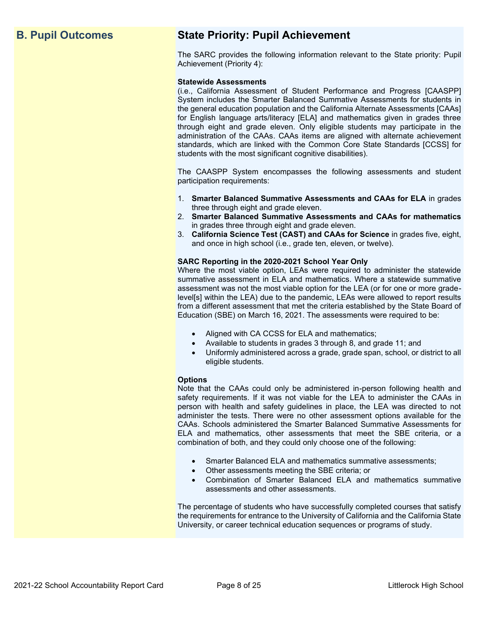# **B. Pupil Outcomes State Priority: Pupil Achievement**

The SARC provides the following information relevant to the State priority: Pupil Achievement (Priority 4):

#### **Statewide Assessments**

(i.e., California Assessment of Student Performance and Progress [CAASPP] System includes the Smarter Balanced Summative Assessments for students in the general education population and the California Alternate Assessments [CAAs] for English language arts/literacy [ELA] and mathematics given in grades three through eight and grade eleven. Only eligible students may participate in the administration of the CAAs. CAAs items are aligned with alternate achievement standards, which are linked with the Common Core State Standards [CCSS] for students with the most significant cognitive disabilities).

The CAASPP System encompasses the following assessments and student participation requirements:

- 1. **Smarter Balanced Summative Assessments and CAAs for ELA** in grades three through eight and grade eleven.
- 2. **Smarter Balanced Summative Assessments and CAAs for mathematics** in grades three through eight and grade eleven.
- 3. **California Science Test (CAST) and CAAs for Science** in grades five, eight, and once in high school (i.e., grade ten, eleven, or twelve).

#### **SARC Reporting in the 2020-2021 School Year Only**

Where the most viable option, LEAs were required to administer the statewide summative assessment in ELA and mathematics. Where a statewide summative assessment was not the most viable option for the LEA (or for one or more gradelevel[s] within the LEA) due to the pandemic, LEAs were allowed to report results from a different assessment that met the criteria established by the State Board of Education (SBE) on March 16, 2021. The assessments were required to be:

- Aligned with CA CCSS for ELA and mathematics;
- Available to students in grades 3 through 8, and grade 11; and
- Uniformly administered across a grade, grade span, school, or district to all eligible students.

#### **Options**

Note that the CAAs could only be administered in-person following health and safety requirements. If it was not viable for the LEA to administer the CAAs in person with health and safety guidelines in place, the LEA was directed to not administer the tests. There were no other assessment options available for the CAAs. Schools administered the Smarter Balanced Summative Assessments for ELA and mathematics, other assessments that meet the SBE criteria, or a combination of both, and they could only choose one of the following:

- Smarter Balanced ELA and mathematics summative assessments;
- Other assessments meeting the SBE criteria; or
- Combination of Smarter Balanced ELA and mathematics summative assessments and other assessments.

The percentage of students who have successfully completed courses that satisfy the requirements for entrance to the University of California and the California State University, or career technical education sequences or programs of study.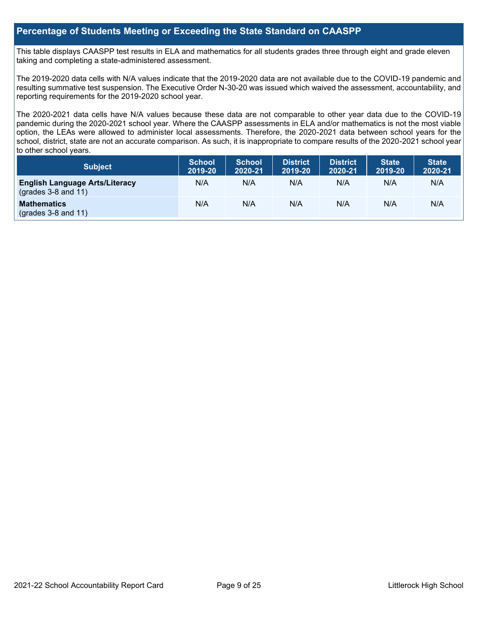## **Percentage of Students Meeting or Exceeding the State Standard on CAASPP**

This table displays CAASPP test results in ELA and mathematics for all students grades three through eight and grade eleven taking and completing a state-administered assessment.

The 2019-2020 data cells with N/A values indicate that the 2019-2020 data are not available due to the COVID-19 pandemic and resulting summative test suspension. The Executive Order N-30-20 was issued which waived the assessment, accountability, and reporting requirements for the 2019-2020 school year.

The 2020-2021 data cells have N/A values because these data are not comparable to other year data due to the COVID-19 pandemic during the 2020-2021 school year. Where the CAASPP assessments in ELA and/or mathematics is not the most viable option, the LEAs were allowed to administer local assessments. Therefore, the 2020-2021 data between school years for the school, district, state are not an accurate comparison. As such, it is inappropriate to compare results of the 2020-2021 school year to other school years.

| Subject                                                              | <b>School</b><br>2019-20 | <b>School</b><br>2020-21 | <b>District</b><br>2019-20 | <b>District</b><br>2020-21 | <b>State</b><br>2019-20 | <b>State</b><br>2020-21 |
|----------------------------------------------------------------------|--------------------------|--------------------------|----------------------------|----------------------------|-------------------------|-------------------------|
| <b>English Language Arts/Literacy</b><br>$\left($ grades 3-8 and 11) | N/A                      | N/A                      | N/A                        | N/A                        | N/A                     | N/A                     |
| <b>Mathematics</b><br>$(grades 3-8 and 11)$                          | N/A                      | N/A                      | N/A                        | N/A                        | N/A                     | N/A                     |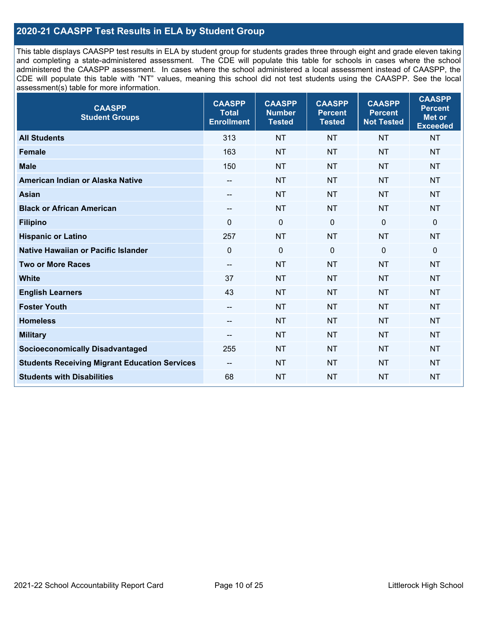# **2020-21 CAASPP Test Results in ELA by Student Group**

This table displays CAASPP test results in ELA by student group for students grades three through eight and grade eleven taking and completing a state-administered assessment. The CDE will populate this table for schools in cases where the school administered the CAASPP assessment. In cases where the school administered a local assessment instead of CAASPP, the CDE will populate this table with "NT" values, meaning this school did not test students using the CAASPP. See the local assessment(s) table for more information.

| <b>CAASPP</b><br><b>Student Groups</b>               | <b>CAASPP</b><br><b>Total</b><br><b>Enrollment</b> | <b>CAASPP</b><br><b>Number</b><br><b>Tested</b> | <b>CAASPP</b><br><b>Percent</b><br><b>Tested</b> | <b>CAASPP</b><br><b>Percent</b><br><b>Not Tested</b> | <b>CAASPP</b><br><b>Percent</b><br>Met or<br><b>Exceeded</b> |
|------------------------------------------------------|----------------------------------------------------|-------------------------------------------------|--------------------------------------------------|------------------------------------------------------|--------------------------------------------------------------|
| <b>All Students</b>                                  | 313                                                | <b>NT</b>                                       | <b>NT</b>                                        | <b>NT</b>                                            | <b>NT</b>                                                    |
| <b>Female</b>                                        | 163                                                | <b>NT</b>                                       | <b>NT</b>                                        | <b>NT</b>                                            | <b>NT</b>                                                    |
| <b>Male</b>                                          | 150                                                | <b>NT</b>                                       | <b>NT</b>                                        | <b>NT</b>                                            | <b>NT</b>                                                    |
| American Indian or Alaska Native                     | $\overline{\phantom{a}}$                           | <b>NT</b>                                       | <b>NT</b>                                        | <b>NT</b>                                            | <b>NT</b>                                                    |
| <b>Asian</b>                                         | $-$                                                | <b>NT</b>                                       | <b>NT</b>                                        | <b>NT</b>                                            | <b>NT</b>                                                    |
| <b>Black or African American</b>                     | --                                                 | <b>NT</b>                                       | <b>NT</b>                                        | <b>NT</b>                                            | <b>NT</b>                                                    |
| <b>Filipino</b>                                      | $\Omega$                                           | $\mathbf 0$                                     | $\Omega$                                         | $\mathbf 0$                                          | $\mathbf 0$                                                  |
| <b>Hispanic or Latino</b>                            | 257                                                | <b>NT</b>                                       | <b>NT</b>                                        | <b>NT</b>                                            | <b>NT</b>                                                    |
| Native Hawaiian or Pacific Islander                  | $\mathbf 0$                                        | $\mathbf 0$                                     | $\mathbf 0$                                      | $\overline{0}$                                       | $\mathbf 0$                                                  |
| <b>Two or More Races</b>                             | $\overline{a}$                                     | <b>NT</b>                                       | <b>NT</b>                                        | <b>NT</b>                                            | <b>NT</b>                                                    |
| <b>White</b>                                         | 37                                                 | <b>NT</b>                                       | <b>NT</b>                                        | <b>NT</b>                                            | <b>NT</b>                                                    |
| <b>English Learners</b>                              | 43                                                 | <b>NT</b>                                       | <b>NT</b>                                        | <b>NT</b>                                            | <b>NT</b>                                                    |
| <b>Foster Youth</b>                                  | $\overline{\phantom{a}}$                           | <b>NT</b>                                       | <b>NT</b>                                        | <b>NT</b>                                            | <b>NT</b>                                                    |
| <b>Homeless</b>                                      | --                                                 | <b>NT</b>                                       | <b>NT</b>                                        | <b>NT</b>                                            | <b>NT</b>                                                    |
| <b>Military</b>                                      | --                                                 | <b>NT</b>                                       | <b>NT</b>                                        | <b>NT</b>                                            | <b>NT</b>                                                    |
| <b>Socioeconomically Disadvantaged</b>               | 255                                                | <b>NT</b>                                       | <b>NT</b>                                        | <b>NT</b>                                            | <b>NT</b>                                                    |
| <b>Students Receiving Migrant Education Services</b> | $-$                                                | <b>NT</b>                                       | <b>NT</b>                                        | <b>NT</b>                                            | NT                                                           |
| <b>Students with Disabilities</b>                    | 68                                                 | <b>NT</b>                                       | <b>NT</b>                                        | <b>NT</b>                                            | <b>NT</b>                                                    |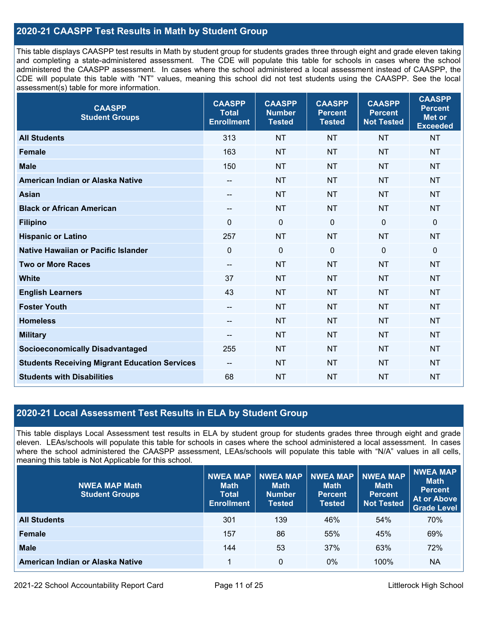# **2020-21 CAASPP Test Results in Math by Student Group**

This table displays CAASPP test results in Math by student group for students grades three through eight and grade eleven taking and completing a state-administered assessment. The CDE will populate this table for schools in cases where the school administered the CAASPP assessment. In cases where the school administered a local assessment instead of CAASPP, the CDE will populate this table with "NT" values, meaning this school did not test students using the CAASPP. See the local assessment(s) table for more information.

| <b>CAASPP</b><br><b>Student Groups</b>               | <b>CAASPP</b><br><b>Total</b><br><b>Enrollment</b> | <b>CAASPP</b><br><b>Number</b><br><b>Tested</b> | <b>CAASPP</b><br><b>Percent</b><br><b>Tested</b> | <b>CAASPP</b><br><b>Percent</b><br><b>Not Tested</b> | <b>CAASPP</b><br><b>Percent</b><br><b>Met or</b><br><b>Exceeded</b> |
|------------------------------------------------------|----------------------------------------------------|-------------------------------------------------|--------------------------------------------------|------------------------------------------------------|---------------------------------------------------------------------|
| <b>All Students</b>                                  | 313                                                | <b>NT</b>                                       | <b>NT</b>                                        | <b>NT</b>                                            | <b>NT</b>                                                           |
| <b>Female</b>                                        | 163                                                | <b>NT</b>                                       | <b>NT</b>                                        | <b>NT</b>                                            | <b>NT</b>                                                           |
| <b>Male</b>                                          | 150                                                | <b>NT</b>                                       | <b>NT</b>                                        | <b>NT</b>                                            | <b>NT</b>                                                           |
| American Indian or Alaska Native                     | $-$                                                | <b>NT</b>                                       | <b>NT</b>                                        | <b>NT</b>                                            | <b>NT</b>                                                           |
| <b>Asian</b>                                         | $\overline{\phantom{a}}$                           | <b>NT</b>                                       | <b>NT</b>                                        | <b>NT</b>                                            | <b>NT</b>                                                           |
| <b>Black or African American</b>                     | --                                                 | <b>NT</b>                                       | <b>NT</b>                                        | <b>NT</b>                                            | <b>NT</b>                                                           |
| <b>Filipino</b>                                      | $\mathbf 0$                                        | $\mathbf 0$                                     | $\mathbf{0}$                                     | $\mathbf 0$                                          | $\mathbf 0$                                                         |
| <b>Hispanic or Latino</b>                            | 257                                                | <b>NT</b>                                       | <b>NT</b>                                        | <b>NT</b>                                            | <b>NT</b>                                                           |
| Native Hawaiian or Pacific Islander                  | $\mathbf 0$                                        | $\mathbf 0$                                     | $\mathbf 0$                                      | $\mathbf 0$                                          | $\mathbf 0$                                                         |
| <b>Two or More Races</b>                             | $\overline{\phantom{a}}$                           | <b>NT</b>                                       | <b>NT</b>                                        | <b>NT</b>                                            | <b>NT</b>                                                           |
| <b>White</b>                                         | 37                                                 | <b>NT</b>                                       | <b>NT</b>                                        | <b>NT</b>                                            | <b>NT</b>                                                           |
| <b>English Learners</b>                              | 43                                                 | <b>NT</b>                                       | <b>NT</b>                                        | <b>NT</b>                                            | <b>NT</b>                                                           |
| <b>Foster Youth</b>                                  | $-$                                                | <b>NT</b>                                       | <b>NT</b>                                        | <b>NT</b>                                            | <b>NT</b>                                                           |
| <b>Homeless</b>                                      | $\overline{\phantom{a}}$                           | <b>NT</b>                                       | <b>NT</b>                                        | <b>NT</b>                                            | <b>NT</b>                                                           |
| <b>Military</b>                                      | $\qquad \qquad -$                                  | <b>NT</b>                                       | <b>NT</b>                                        | <b>NT</b>                                            | <b>NT</b>                                                           |
| <b>Socioeconomically Disadvantaged</b>               | 255                                                | <b>NT</b>                                       | <b>NT</b>                                        | <b>NT</b>                                            | <b>NT</b>                                                           |
| <b>Students Receiving Migrant Education Services</b> | --                                                 | <b>NT</b>                                       | <b>NT</b>                                        | <b>NT</b>                                            | <b>NT</b>                                                           |
| <b>Students with Disabilities</b>                    | 68                                                 | <b>NT</b>                                       | <b>NT</b>                                        | <b>NT</b>                                            | <b>NT</b>                                                           |

# **2020-21 Local Assessment Test Results in ELA by Student Group**

This table displays Local Assessment test results in ELA by student group for students grades three through eight and grade eleven. LEAs/schools will populate this table for schools in cases where the school administered a local assessment. In cases where the school administered the CAASPP assessment, LEAs/schools will populate this table with "N/A" values in all cells, meaning this table is Not Applicable for this school.

| <b>NWEA MAP Math</b><br><b>Student Groups</b> | <b>NWEA MAP</b><br><b>Math</b><br><b>Total</b><br><b>Enrollment</b> | <b>NWEA MAP</b><br><b>Math</b><br><b>Number</b><br>Tested | <b>NWEA MAP</b><br><b>Math</b><br><b>Percent</b><br><b>Tested</b> | <b>NWEA MAP</b><br><b>Math</b><br>Percent<br><b>Not Tested</b> | NWEA MAP<br><b>Math</b><br><b>Percent</b><br><b>At or Above</b><br><b>Grade Level</b> |
|-----------------------------------------------|---------------------------------------------------------------------|-----------------------------------------------------------|-------------------------------------------------------------------|----------------------------------------------------------------|---------------------------------------------------------------------------------------|
| <b>All Students</b>                           | 301                                                                 | 139                                                       | 46%                                                               | 54%                                                            | 70%                                                                                   |
| <b>Female</b>                                 | 157                                                                 | 86                                                        | 55%                                                               | 45%                                                            | 69%                                                                                   |
| <b>Male</b>                                   | 144                                                                 | 53                                                        | 37%                                                               | 63%                                                            | 72%                                                                                   |
| American Indian or Alaska Native              |                                                                     | 0                                                         | 0%                                                                | 100%                                                           | <b>NA</b>                                                                             |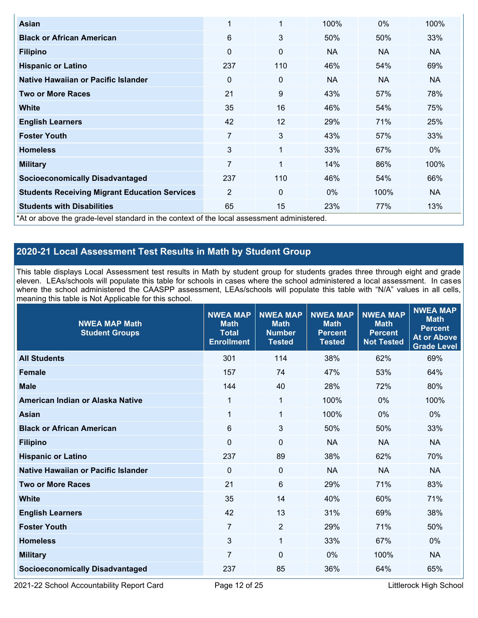| Asian                                                                                      | 1              | $\overline{1}$ | 100%      | $0\%$     | 100%      |  |  |  |
|--------------------------------------------------------------------------------------------|----------------|----------------|-----------|-----------|-----------|--|--|--|
| <b>Black or African American</b>                                                           | 6              | 3              | 50%       | 50%       | 33%       |  |  |  |
| <b>Filipino</b>                                                                            | 0              | $\mathbf 0$    | <b>NA</b> | <b>NA</b> | NA.       |  |  |  |
| <b>Hispanic or Latino</b>                                                                  | 237            | 110            | 46%       | 54%       | 69%       |  |  |  |
| Native Hawaiian or Pacific Islander                                                        | 0              | 0              | <b>NA</b> | <b>NA</b> | NA.       |  |  |  |
| <b>Two or More Races</b>                                                                   | 21             | 9              | 43%       | 57%       | 78%       |  |  |  |
| <b>White</b>                                                                               | 35             | 16             | 46%       | 54%       | 75%       |  |  |  |
| <b>English Learners</b>                                                                    | 42             | 12             | 29%       | 71%       | 25%       |  |  |  |
| <b>Foster Youth</b>                                                                        | 7              | 3              | 43%       | 57%       | 33%       |  |  |  |
| <b>Homeless</b>                                                                            | 3              | 1              | 33%       | 67%       | $0\%$     |  |  |  |
| <b>Military</b>                                                                            | $\overline{7}$ | 1              | 14%       | 86%       | 100%      |  |  |  |
| <b>Socioeconomically Disadvantaged</b>                                                     | 237            | 110            | 46%       | 54%       | 66%       |  |  |  |
| <b>Students Receiving Migrant Education Services</b>                                       | $\overline{2}$ | $\Omega$       | $0\%$     | 100%      | <b>NA</b> |  |  |  |
| <b>Students with Disabilities</b>                                                          | 65             | 15             | 23%       | 77%       | 13%       |  |  |  |
| *At or above the grade-level standard in the context of the local assessment administered. |                |                |           |           |           |  |  |  |

# **2020-21 Local Assessment Test Results in Math by Student Group**

This table displays Local Assessment test results in Math by student group for students grades three through eight and grade eleven. LEAs/schools will populate this table for schools in cases where the school administered a local assessment. In cases where the school administered the CAASPP assessment, LEAs/schools will populate this table with "N/A" values in all cells, meaning this table is Not Applicable for this school.

| <b>NWEA MAP Math</b><br><b>Student Groups</b> | <b>NWEA MAP</b><br><b>Math</b><br><b>Total</b><br><b>Enrollment</b> | <b>NWEA MAP</b><br><b>Math</b><br><b>Number</b><br><b>Tested</b> | <b>NWEA MAP</b><br><b>Math</b><br><b>Percent</b><br><b>Tested</b> | <b>NWEA MAP</b><br><b>Math</b><br><b>Percent</b><br><b>Not Tested</b> | <b>NWEA MAP</b><br><b>Math</b><br><b>Percent</b><br><b>At or Above</b><br><b>Grade Level</b> |
|-----------------------------------------------|---------------------------------------------------------------------|------------------------------------------------------------------|-------------------------------------------------------------------|-----------------------------------------------------------------------|----------------------------------------------------------------------------------------------|
| <b>All Students</b>                           | 301                                                                 | 114                                                              | 38%                                                               | 62%                                                                   | 69%                                                                                          |
| <b>Female</b>                                 | 157                                                                 | 74                                                               | 47%                                                               | 53%                                                                   | 64%                                                                                          |
| <b>Male</b>                                   | 144                                                                 | 40                                                               | 28%                                                               | 72%                                                                   | 80%                                                                                          |
| American Indian or Alaska Native              | 1                                                                   | $\mathbf{1}$                                                     | 100%                                                              | 0%                                                                    | 100%                                                                                         |
| <b>Asian</b>                                  | 1                                                                   | 1                                                                | 100%                                                              | 0%                                                                    | $0\%$                                                                                        |
| <b>Black or African American</b>              | $6\,$                                                               | 3                                                                | 50%                                                               | 50%                                                                   | 33%                                                                                          |
| <b>Filipino</b>                               | $\Omega$                                                            | $\mathbf 0$                                                      | <b>NA</b>                                                         | <b>NA</b>                                                             | <b>NA</b>                                                                                    |
| <b>Hispanic or Latino</b>                     | 237                                                                 | 89                                                               | 38%                                                               | 62%                                                                   | 70%                                                                                          |
| Native Hawaiian or Pacific Islander           | $\Omega$                                                            | $\mathbf{0}$                                                     | <b>NA</b>                                                         | <b>NA</b>                                                             | <b>NA</b>                                                                                    |
| <b>Two or More Races</b>                      | 21                                                                  | 6                                                                | 29%                                                               | 71%                                                                   | 83%                                                                                          |
| <b>White</b>                                  | 35                                                                  | 14                                                               | 40%                                                               | 60%                                                                   | 71%                                                                                          |
| <b>English Learners</b>                       | 42                                                                  | 13                                                               | 31%                                                               | 69%                                                                   | 38%                                                                                          |
| <b>Foster Youth</b>                           | $\overline{7}$                                                      | $\overline{2}$                                                   | 29%                                                               | 71%                                                                   | 50%                                                                                          |
| <b>Homeless</b>                               | 3                                                                   | $\mathbf{1}$                                                     | 33%                                                               | 67%                                                                   | 0%                                                                                           |
| <b>Military</b>                               | $\overline{7}$                                                      | $\mathbf 0$                                                      | 0%                                                                | 100%                                                                  | <b>NA</b>                                                                                    |
| <b>Socioeconomically Disadvantaged</b>        | 237                                                                 | 85                                                               | 36%                                                               | 64%                                                                   | 65%                                                                                          |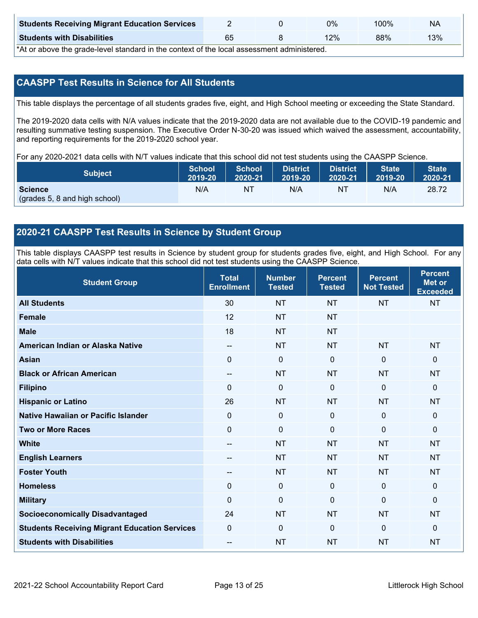| <b>Students Receiving Migrant Education Services</b> |    | 0% | 00% | NA  |
|------------------------------------------------------|----|----|-----|-----|
| <b>Students with Disabilities</b>                    | 65 | 2% | 88% | 13% |

\*At or above the grade-level standard in the context of the local assessment administered.

# **CAASPP Test Results in Science for All Students**

This table displays the percentage of all students grades five, eight, and High School meeting or exceeding the State Standard.

The 2019-2020 data cells with N/A values indicate that the 2019-2020 data are not available due to the COVID-19 pandemic and resulting summative testing suspension. The Executive Order N-30-20 was issued which waived the assessment, accountability, and reporting requirements for the 2019-2020 school year.

For any 2020-2021 data cells with N/T values indicate that this school did not test students using the CAASPP Science.

| <b>Subject</b>                                  | <b>School</b> | <b>School</b> | <b>District</b> | <b>District</b> | <b>State</b> | <b>State</b> |
|-------------------------------------------------|---------------|---------------|-----------------|-----------------|--------------|--------------|
|                                                 | 2019-20       | 2020-21       | 2019-20         | 2020-21         | 2019-20      | 2020-21      |
| <b>Science</b><br>(grades 5, 8 and high school) | N/A           | NT            | N/A             | N1              | N/A          | 28.72        |

## **2020-21 CAASPP Test Results in Science by Student Group**

This table displays CAASPP test results in Science by student group for students grades five, eight, and High School. For any data cells with N/T values indicate that this school did not test students using the CAASPP Science.

| <b>Student Group</b>                                 | <b>Total</b><br><b>Enrollment</b> | <b>Number</b><br><b>Tested</b> | <b>Percent</b><br><b>Tested</b> | <b>Percent</b><br><b>Not Tested</b> | <b>Percent</b><br><b>Met or</b><br><b>Exceeded</b> |
|------------------------------------------------------|-----------------------------------|--------------------------------|---------------------------------|-------------------------------------|----------------------------------------------------|
| <b>All Students</b>                                  | 30                                | <b>NT</b>                      | <b>NT</b>                       | <b>NT</b>                           | <b>NT</b>                                          |
| <b>Female</b>                                        | 12                                | <b>NT</b>                      | <b>NT</b>                       |                                     |                                                    |
| <b>Male</b>                                          | 18                                | <b>NT</b>                      | <b>NT</b>                       |                                     |                                                    |
| American Indian or Alaska Native                     | $-$                               | <b>NT</b>                      | <b>NT</b>                       | <b>NT</b>                           | <b>NT</b>                                          |
| <b>Asian</b>                                         | $\mathbf 0$                       | $\pmb{0}$                      | $\mathbf 0$                     | 0                                   | $\mathbf 0$                                        |
| <b>Black or African American</b>                     | $\overline{a}$                    | <b>NT</b>                      | <b>NT</b>                       | <b>NT</b>                           | <b>NT</b>                                          |
| <b>Filipino</b>                                      | $\mathbf{0}$                      | $\mathbf 0$                    | $\Omega$                        | $\mathbf{0}$                        | $\mathbf 0$                                        |
| <b>Hispanic or Latino</b>                            | 26                                | <b>NT</b>                      | <b>NT</b>                       | <b>NT</b>                           | <b>NT</b>                                          |
| Native Hawaiian or Pacific Islander                  | $\mathbf 0$                       | $\mathbf 0$                    | $\Omega$                        | $\mathbf 0$                         | $\mathbf 0$                                        |
| <b>Two or More Races</b>                             | $\Omega$                          | $\mathbf 0$                    | $\mathbf 0$                     | $\mathbf 0$                         | $\mathbf{0}$                                       |
| <b>White</b>                                         | --                                | <b>NT</b>                      | <b>NT</b>                       | <b>NT</b>                           | <b>NT</b>                                          |
| <b>English Learners</b>                              | --                                | <b>NT</b>                      | <b>NT</b>                       | <b>NT</b>                           | <b>NT</b>                                          |
| <b>Foster Youth</b>                                  | --                                | <b>NT</b>                      | <b>NT</b>                       | <b>NT</b>                           | <b>NT</b>                                          |
| <b>Homeless</b>                                      | $\mathbf 0$                       | $\pmb{0}$                      | $\mathbf 0$                     | $\mathbf 0$                         | $\mathbf 0$                                        |
| <b>Military</b>                                      | $\Omega$                          | $\mathbf 0$                    | $\Omega$                        | $\mathbf{0}$                        | $\mathbf 0$                                        |
| <b>Socioeconomically Disadvantaged</b>               | 24                                | <b>NT</b>                      | <b>NT</b>                       | <b>NT</b>                           | <b>NT</b>                                          |
| <b>Students Receiving Migrant Education Services</b> | $\mathbf 0$                       | $\mathbf 0$                    | $\Omega$                        | $\mathbf 0$                         | $\mathbf 0$                                        |
| <b>Students with Disabilities</b>                    | --                                | <b>NT</b>                      | <b>NT</b>                       | <b>NT</b>                           | <b>NT</b>                                          |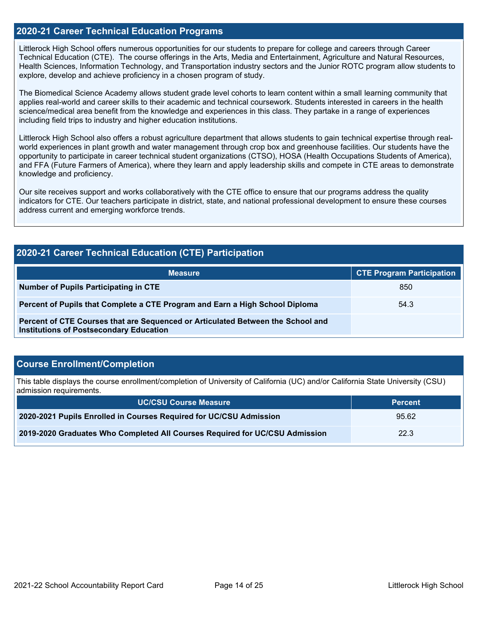### **2020-21 Career Technical Education Programs**

Littlerock High School offers numerous opportunities for our students to prepare for college and careers through Career Technical Education (CTE). The course offerings in the Arts, Media and Entertainment, Agriculture and Natural Resources, Health Sciences, Information Technology, and Transportation industry sectors and the Junior ROTC program allow students to explore, develop and achieve proficiency in a chosen program of study.

The Biomedical Science Academy allows student grade level cohorts to learn content within a small learning community that applies real-world and career skills to their academic and technical coursework. Students interested in careers in the health science/medical area benefit from the knowledge and experiences in this class. They partake in a range of experiences including field trips to industry and higher education institutions.

Littlerock High School also offers a robust agriculture department that allows students to gain technical expertise through realworld experiences in plant growth and water management through crop box and greenhouse facilities. Our students have the opportunity to participate in career technical student organizations (CTSO), HOSA (Health Occupations Students of America), and FFA (Future Farmers of America), where they learn and apply leadership skills and compete in CTE areas to demonstrate knowledge and proficiency.

Our site receives support and works collaboratively with the CTE office to ensure that our programs address the quality indicators for CTE. Our teachers participate in district, state, and national professional development to ensure these courses address current and emerging workforce trends.

| <b>2020-21 Career Technical Education (CTE) Participation</b>                                                                     |                                  |  |  |  |  |
|-----------------------------------------------------------------------------------------------------------------------------------|----------------------------------|--|--|--|--|
| <b>Measure</b>                                                                                                                    | <b>CTE Program Participation</b> |  |  |  |  |
| Number of Pupils Participating in CTE                                                                                             | 850                              |  |  |  |  |
| Percent of Pupils that Complete a CTE Program and Earn a High School Diploma                                                      | 54.3                             |  |  |  |  |
| Percent of CTE Courses that are Sequenced or Articulated Between the School and<br><b>Institutions of Postsecondary Education</b> |                                  |  |  |  |  |

# **Course Enrollment/Completion**

This table displays the course enrollment/completion of University of California (UC) and/or California State University (CSU) admission requirements.

| <b>UC/CSU Course Measure</b>                                                | <b>Percent</b> |
|-----------------------------------------------------------------------------|----------------|
| 2020-2021 Pupils Enrolled in Courses Required for UC/CSU Admission          | 95.62          |
| 2019-2020 Graduates Who Completed All Courses Required for UC/CSU Admission | 22.3           |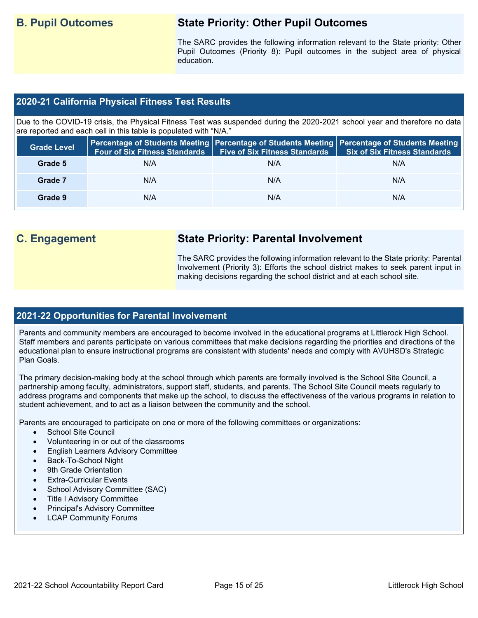# **B. Pupil Outcomes State Priority: Other Pupil Outcomes**

The SARC provides the following information relevant to the State priority: Other Pupil Outcomes (Priority 8): Pupil outcomes in the subject area of physical education.

# **2020-21 California Physical Fitness Test Results**

Due to the COVID-19 crisis, the Physical Fitness Test was suspended during the 2020-2021 school year and therefore no data are reported and each cell in this table is populated with "N/A."

| <b>Grade Level</b> | <b>Four of Six Fitness Standards</b> | <b>Five of Six Fitness Standards</b> | Percentage of Students Meeting   Percentage of Students Meeting   Percentage of Students Meeting<br><b>Six of Six Fitness Standards</b> |
|--------------------|--------------------------------------|--------------------------------------|-----------------------------------------------------------------------------------------------------------------------------------------|
| Grade 5            | N/A                                  | N/A                                  | N/A                                                                                                                                     |
| Grade 7            | N/A                                  | N/A                                  | N/A                                                                                                                                     |
| Grade 9            | N/A                                  | N/A                                  | N/A                                                                                                                                     |

# **C. Engagement State Priority: Parental Involvement**

The SARC provides the following information relevant to the State priority: Parental Involvement (Priority 3): Efforts the school district makes to seek parent input in making decisions regarding the school district and at each school site.

### **2021-22 Opportunities for Parental Involvement**

Parents and community members are encouraged to become involved in the educational programs at Littlerock High School. Staff members and parents participate on various committees that make decisions regarding the priorities and directions of the educational plan to ensure instructional programs are consistent with students' needs and comply with AVUHSD's Strategic Plan Goals.

The primary decision-making body at the school through which parents are formally involved is the School Site Council, a partnership among faculty, administrators, support staff, students, and parents. The School Site Council meets regularly to address programs and components that make up the school, to discuss the effectiveness of the various programs in relation to student achievement, and to act as a liaison between the community and the school.

Parents are encouraged to participate on one or more of the following committees or organizations:

- School Site Council
- Volunteering in or out of the classrooms
- English Learners Advisory Committee
- Back-To-School Night
- 9th Grade Orientation
- **Extra-Curricular Events**
- School Advisory Committee (SAC)
- Title I Advisory Committee
- Principal's Advisory Committee
- **LCAP Community Forums**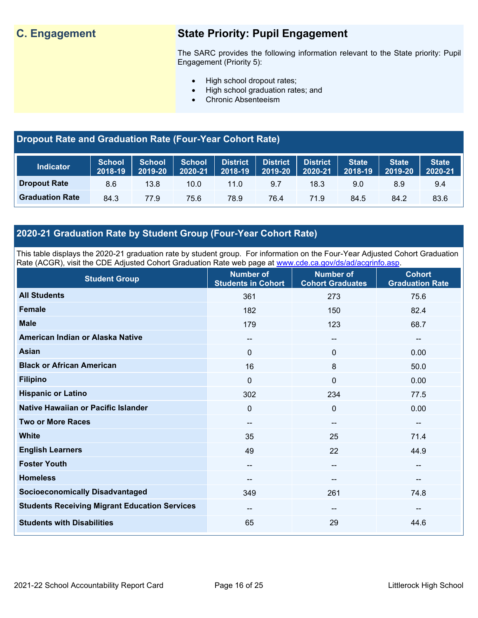# **C. Engagement State Priority: Pupil Engagement**

The SARC provides the following information relevant to the State priority: Pupil Engagement (Priority 5):

- High school dropout rates;
- High school graduation rates; and
- Chronic Absenteeism

# **Dropout Rate and Graduation Rate (Four-Year Cohort Rate)**

| <b>Indicator</b>       | <b>School</b><br>2018-19 | <b>School</b><br>2019-20 | <b>School</b><br>2020-21 | <b>District</b><br>2018-19 | <b>District</b><br>2019-20 | <b>District</b><br>2020-21 | <b>State</b><br>2018-19 | <b>State</b><br>2019-20 | <b>State</b><br>2020-21 |
|------------------------|--------------------------|--------------------------|--------------------------|----------------------------|----------------------------|----------------------------|-------------------------|-------------------------|-------------------------|
| <b>Dropout Rate</b>    | 8.6                      | 13.8                     | 10.0                     | 11.0                       | 9.7                        | 18.3                       | 9.0                     | 8.9                     | 9.4                     |
| <b>Graduation Rate</b> | 84.3                     | 77.9                     | 75.6                     | 78.9                       | 76.4                       | 71.9                       | 84.5                    | 84.2                    | 83.6                    |

# **2020-21 Graduation Rate by Student Group (Four-Year Cohort Rate)**

This table displays the 2020-21 graduation rate by student group. For information on the Four-Year Adjusted Cohort Graduation Rate (ACGR), visit the CDE Adjusted Cohort Graduation Rate web page at [www.cde.ca.gov/ds/ad/acgrinfo.asp.](http://www.cde.ca.gov/ds/ad/acgrinfo.asp)

| <b>Student Group</b>                                 | <b>Number of</b><br><b>Students in Cohort</b> | <b>Number of</b><br><b>Cohort Graduates</b> | <b>Cohort</b><br><b>Graduation Rate</b> |
|------------------------------------------------------|-----------------------------------------------|---------------------------------------------|-----------------------------------------|
| <b>All Students</b>                                  | 361                                           | 273                                         | 75.6                                    |
| <b>Female</b>                                        | 182                                           | 150                                         | 82.4                                    |
| <b>Male</b>                                          | 179                                           | 123                                         | 68.7                                    |
| American Indian or Alaska Native                     | $\qquad \qquad -$                             | --                                          | $\overline{\phantom{a}}$                |
| <b>Asian</b>                                         | $\mathbf 0$                                   | $\mathbf 0$                                 | 0.00                                    |
| <b>Black or African American</b>                     | 16                                            | 8                                           | 50.0                                    |
| <b>Filipino</b>                                      | 0                                             | $\mathbf 0$                                 | 0.00                                    |
| <b>Hispanic or Latino</b>                            | 302                                           | 234                                         | 77.5                                    |
| <b>Native Hawaiian or Pacific Islander</b>           | $\mathbf 0$                                   | $\mathbf 0$                                 | 0.00                                    |
| <b>Two or More Races</b>                             | --                                            | --                                          | $\overline{\phantom{m}}$                |
| <b>White</b>                                         | 35                                            | 25                                          | 71.4                                    |
| <b>English Learners</b>                              | 49                                            | 22                                          | 44.9                                    |
| <b>Foster Youth</b>                                  | $\qquad \qquad -$                             | --                                          | $\overline{\phantom{a}}$                |
| <b>Homeless</b>                                      | --                                            | --                                          | $\sim$                                  |
| <b>Socioeconomically Disadvantaged</b>               | 349                                           | 261                                         | 74.8                                    |
| <b>Students Receiving Migrant Education Services</b> | --                                            | --                                          | $\overline{\phantom{m}}$                |
| <b>Students with Disabilities</b>                    | 65                                            | 29                                          | 44.6                                    |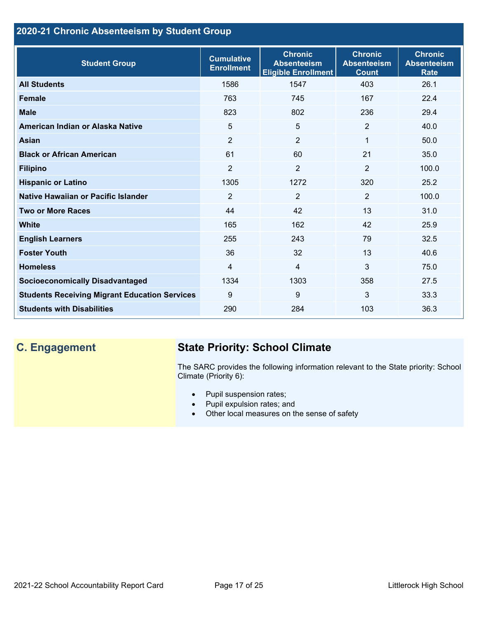# **2020-21 Chronic Absenteeism by Student Group**

| <b>Student Group</b>                                 | <b>Cumulative</b><br><b>Enrollment</b> | <b>Chronic</b><br><b>Absenteeism</b><br><b>Eligible Enrollment</b> | <b>Chronic</b><br><b>Absenteeism</b><br><b>Count</b> | <b>Chronic</b><br><b>Absenteeism</b><br><b>Rate</b> |
|------------------------------------------------------|----------------------------------------|--------------------------------------------------------------------|------------------------------------------------------|-----------------------------------------------------|
| <b>All Students</b>                                  | 1586                                   | 1547                                                               | 403                                                  | 26.1                                                |
| <b>Female</b>                                        | 763                                    | 745                                                                | 167                                                  | 22.4                                                |
| <b>Male</b>                                          | 823                                    | 802                                                                | 236                                                  | 29.4                                                |
| American Indian or Alaska Native                     | 5                                      | 5                                                                  | 2                                                    | 40.0                                                |
| Asian                                                | 2                                      | $\overline{2}$                                                     | 1                                                    | 50.0                                                |
| <b>Black or African American</b>                     | 61                                     | 60                                                                 | 21                                                   | 35.0                                                |
| <b>Filipino</b>                                      | $\overline{2}$                         | $\overline{2}$                                                     | $\overline{2}$                                       | 100.0                                               |
| <b>Hispanic or Latino</b>                            | 1305                                   | 1272                                                               | 320                                                  | 25.2                                                |
| Native Hawaiian or Pacific Islander                  | $\overline{2}$                         | $\overline{2}$                                                     | $\overline{2}$                                       | 100.0                                               |
| <b>Two or More Races</b>                             | 44                                     | 42                                                                 | 13                                                   | 31.0                                                |
| <b>White</b>                                         | 165                                    | 162                                                                | 42                                                   | 25.9                                                |
| <b>English Learners</b>                              | 255                                    | 243                                                                | 79                                                   | 32.5                                                |
| <b>Foster Youth</b>                                  | 36                                     | 32                                                                 | 13                                                   | 40.6                                                |
| <b>Homeless</b>                                      | 4                                      | $\overline{4}$                                                     | $\mathbf{3}$                                         | 75.0                                                |
| <b>Socioeconomically Disadvantaged</b>               | 1334                                   | 1303                                                               | 358                                                  | 27.5                                                |
| <b>Students Receiving Migrant Education Services</b> | 9                                      | 9                                                                  | 3                                                    | 33.3                                                |
| <b>Students with Disabilities</b>                    | 290                                    | 284                                                                | 103                                                  | 36.3                                                |

# **C. Engagement State Priority: School Climate**

The SARC provides the following information relevant to the State priority: School Climate (Priority 6):

- Pupil suspension rates;
- Pupil expulsion rates; and
- Other local measures on the sense of safety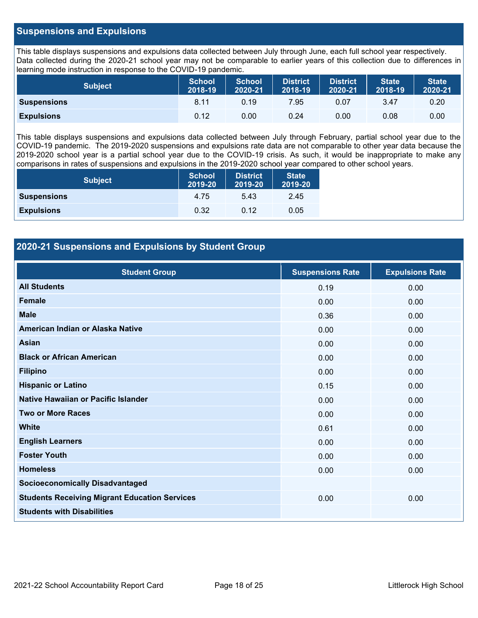## **Suspensions and Expulsions**

This table displays suspensions and expulsions data collected between July through June, each full school year respectively. Data collected during the 2020-21 school year may not be comparable to earlier years of this collection due to differences in learning mode instruction in response to the COVID-19 pandemic.

| <b>Subject</b>     | <b>School</b><br>2018-19 | <b>School</b><br>2020-21 | <b>District</b><br>2018-19 | <b>District</b><br>2020-21 | <b>State</b><br>2018-19 | <b>State</b><br>2020-21 |
|--------------------|--------------------------|--------------------------|----------------------------|----------------------------|-------------------------|-------------------------|
| <b>Suspensions</b> | 8.11                     | 0.19                     | 7.95                       | 0.07                       | 3.47                    | 0.20                    |
| <b>Expulsions</b>  | 0.12                     | 0.00                     | 0.24                       | 0.00                       | 0.08                    | 0.00                    |

This table displays suspensions and expulsions data collected between July through February, partial school year due to the COVID-19 pandemic. The 2019-2020 suspensions and expulsions rate data are not comparable to other year data because the 2019-2020 school year is a partial school year due to the COVID-19 crisis. As such, it would be inappropriate to make any comparisons in rates of suspensions and expulsions in the 2019-2020 school year compared to other school years.

| <b>Subject</b>     | <b>School</b><br>2019-20 | <b>District</b><br>2019-20 | <b>State</b><br>2019-20 |
|--------------------|--------------------------|----------------------------|-------------------------|
| <b>Suspensions</b> | 4.75                     | 5.43                       | 2.45                    |
| <b>Expulsions</b>  | 0.32                     | 0.12                       | 0.05                    |

# **2020-21 Suspensions and Expulsions by Student Group**

| <b>Student Group</b>                                 | <b>Suspensions Rate</b> | <b>Expulsions Rate</b> |
|------------------------------------------------------|-------------------------|------------------------|
| <b>All Students</b>                                  | 0.19                    | 0.00                   |
| <b>Female</b>                                        | 0.00                    | 0.00                   |
| <b>Male</b>                                          | 0.36                    | 0.00                   |
| American Indian or Alaska Native                     | 0.00                    | 0.00                   |
| <b>Asian</b>                                         | 0.00                    | 0.00                   |
| <b>Black or African American</b>                     | 0.00                    | 0.00                   |
| <b>Filipino</b>                                      | 0.00                    | 0.00                   |
| <b>Hispanic or Latino</b>                            | 0.15                    | 0.00                   |
| Native Hawaiian or Pacific Islander                  | 0.00                    | 0.00                   |
| <b>Two or More Races</b>                             | 0.00                    | 0.00                   |
| <b>White</b>                                         | 0.61                    | 0.00                   |
| <b>English Learners</b>                              | 0.00                    | 0.00                   |
| <b>Foster Youth</b>                                  | 0.00                    | 0.00                   |
| <b>Homeless</b>                                      | 0.00                    | 0.00                   |
| <b>Socioeconomically Disadvantaged</b>               |                         |                        |
| <b>Students Receiving Migrant Education Services</b> | 0.00                    | 0.00                   |
| <b>Students with Disabilities</b>                    |                         |                        |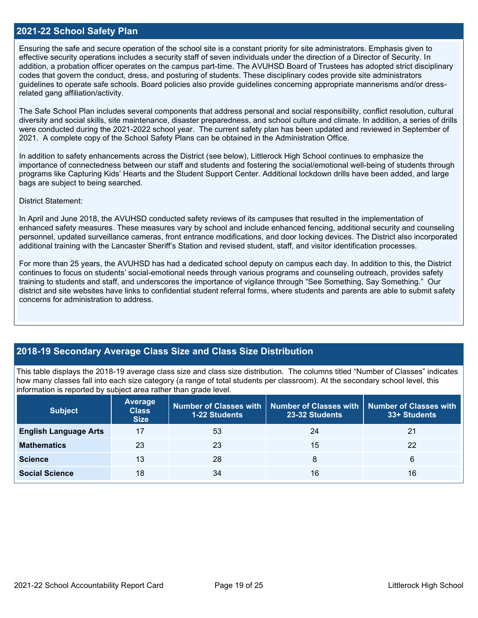### **2021-22 School Safety Plan**

Ensuring the safe and secure operation of the school site is a constant priority for site administrators. Emphasis given to effective security operations includes a security staff of seven individuals under the direction of a Director of Security. In addition, a probation officer operates on the campus part-time. The AVUHSD Board of Trustees has adopted strict disciplinary codes that govern the conduct, dress, and posturing of students. These disciplinary codes provide site administrators guidelines to operate safe schools. Board policies also provide guidelines concerning appropriate mannerisms and/or dressrelated gang affiliation/activity.

The Safe School Plan includes several components that address personal and social responsibility, conflict resolution, cultural diversity and social skills, site maintenance, disaster preparedness, and school culture and climate. In addition, a series of drills were conducted during the 2021-2022 school year. The current safety plan has been updated and reviewed in September of 2021. A complete copy of the School Safety Plans can be obtained in the Administration Office.

In addition to safety enhancements across the District (see below), Littlerock High School continues to emphasize the importance of connectedness between our staff and students and fostering the social/emotional well-being of students through programs like Capturing Kids' Hearts and the Student Support Center. Additional lockdown drills have been added, and large bags are subject to being searched.

#### District Statement:

In April and June 2018, the AVUHSD conducted safety reviews of its campuses that resulted in the implementation of enhanced safety measures. These measures vary by school and include enhanced fencing, additional security and counseling personnel, updated surveillance cameras, front entrance modifications, and door locking devices. The District also incorporated additional training with the Lancaster Sheriff's Station and revised student, staff, and visitor identification processes.

For more than 25 years, the AVUHSD has had a dedicated school deputy on campus each day. In addition to this, the District continues to focus on students' social-emotional needs through various programs and counseling outreach, provides safety training to students and staff, and underscores the importance of vigilance through "See Something, Say Something." Our district and site websites have links to confidential student referral forms, where students and parents are able to submit safety concerns for administration to address.

# **2018-19 Secondary Average Class Size and Class Size Distribution**

This table displays the 2018-19 average class size and class size distribution. The columns titled "Number of Classes" indicates how many classes fall into each size category (a range of total students per classroom). At the secondary school level, this information is reported by subject area rather than grade level.

| <b>Subject</b>               | Average<br><b>Class</b><br><b>Size</b> | <b>1-22 Students</b> | Number of Classes with   Number of Classes with   Number of Classes with<br>23-32 Students | 33+ Students |
|------------------------------|----------------------------------------|----------------------|--------------------------------------------------------------------------------------------|--------------|
| <b>English Language Arts</b> | 17                                     | 53                   | 24                                                                                         | 21           |
| <b>Mathematics</b>           | 23                                     | 23                   | 15                                                                                         | 22           |
| <b>Science</b>               | 13                                     | 28                   | 8                                                                                          | 6            |
| <b>Social Science</b>        | 18                                     | 34                   | 16                                                                                         | 16           |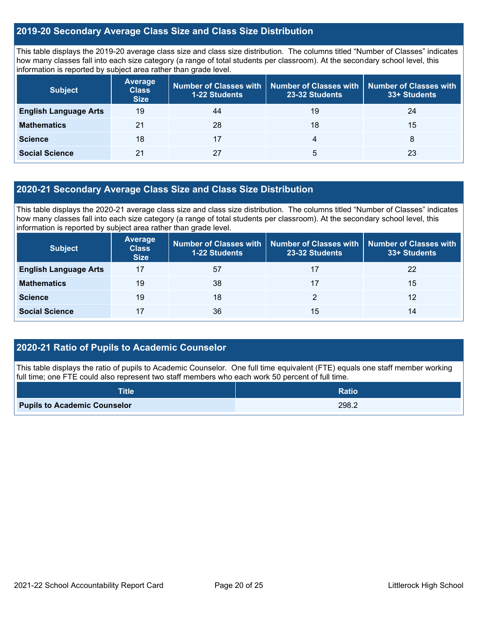# **2019-20 Secondary Average Class Size and Class Size Distribution**

This table displays the 2019-20 average class size and class size distribution. The columns titled "Number of Classes" indicates how many classes fall into each size category (a range of total students per classroom). At the secondary school level, this information is reported by subject area rather than grade level.

| <b>Subject</b>               | <b>Average</b><br><b>Class</b><br><b>Size</b> | Number of Classes with<br><b>1-22 Students</b> | <b>Number of Classes with</b><br>23-32 Students | <b>Number of Classes with</b><br>33+ Students |
|------------------------------|-----------------------------------------------|------------------------------------------------|-------------------------------------------------|-----------------------------------------------|
| <b>English Language Arts</b> | 19                                            | 44                                             | 19                                              | 24                                            |
| <b>Mathematics</b>           | 21                                            | 28                                             | 18                                              | 15                                            |
| <b>Science</b>               | 18                                            | 17                                             | 4                                               | 8                                             |
| <b>Social Science</b>        | 21                                            | 27                                             | 5                                               | 23                                            |

# **2020-21 Secondary Average Class Size and Class Size Distribution**

This table displays the 2020-21 average class size and class size distribution. The columns titled "Number of Classes" indicates how many classes fall into each size category (a range of total students per classroom). At the secondary school level, this information is reported by subject area rather than grade level.

| <b>Subject</b>               | <b>Average</b><br><b>Class</b><br><b>Size</b> | Number of Classes with<br><b>1-22 Students</b> | Number of Classes with   Number of Classes with<br>23-32 Students | 33+ Students |
|------------------------------|-----------------------------------------------|------------------------------------------------|-------------------------------------------------------------------|--------------|
| <b>English Language Arts</b> | 17                                            | 57                                             | 17                                                                | 22           |
| <b>Mathematics</b>           | 19                                            | 38                                             | 17                                                                | 15           |
| <b>Science</b>               | 19                                            | 18                                             |                                                                   | 12           |
| <b>Social Science</b>        | 17                                            | 36                                             | 15                                                                | 14           |

# **2020-21 Ratio of Pupils to Academic Counselor**

This table displays the ratio of pupils to Academic Counselor. One full time equivalent (FTE) equals one staff member working full time; one FTE could also represent two staff members who each work 50 percent of full time.

| <b>Title</b>                        | <b>Ratio</b> |
|-------------------------------------|--------------|
| <b>Pupils to Academic Counselor</b> | 298.2        |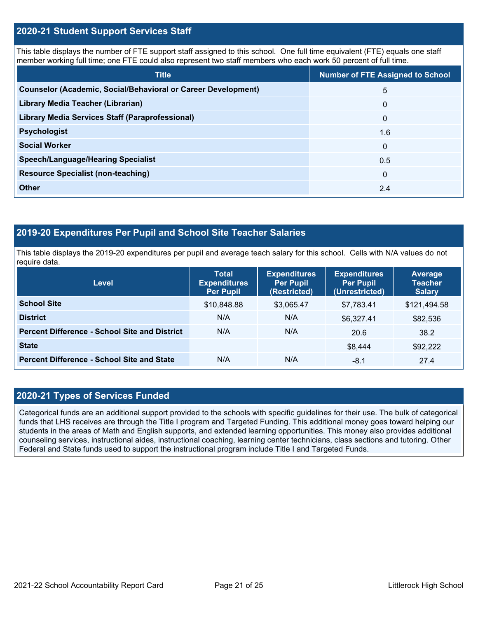# **2020-21 Student Support Services Staff**

This table displays the number of FTE support staff assigned to this school. One full time equivalent (FTE) equals one staff member working full time; one FTE could also represent two staff members who each work 50 percent of full time.

| <b>Title</b>                                                         | <b>Number of FTE Assigned to School</b> |
|----------------------------------------------------------------------|-----------------------------------------|
| <b>Counselor (Academic, Social/Behavioral or Career Development)</b> | 5                                       |
| Library Media Teacher (Librarian)                                    | $\mathbf{0}$                            |
| <b>Library Media Services Staff (Paraprofessional)</b>               | $\mathbf 0$                             |
| <b>Psychologist</b>                                                  | 1.6                                     |
| <b>Social Worker</b>                                                 | $\mathbf{0}$                            |
| <b>Speech/Language/Hearing Specialist</b>                            | 0.5                                     |
| <b>Resource Specialist (non-teaching)</b>                            | $\Omega$                                |
| <b>Other</b>                                                         | 2.4                                     |

# **2019-20 Expenditures Per Pupil and School Site Teacher Salaries**

This table displays the 2019-20 expenditures per pupil and average teach salary for this school. Cells with N/A values do not require data.

| <b>Level</b>                                         | <b>Total</b><br><b>Expenditures</b><br><b>Per Pupil</b> | <b>Expenditures</b><br><b>Per Pupil</b><br>(Restricted) | <b>Expenditures</b><br><b>Per Pupil</b><br>(Unrestricted) | Average<br><b>Teacher</b><br><b>Salary</b> |
|------------------------------------------------------|---------------------------------------------------------|---------------------------------------------------------|-----------------------------------------------------------|--------------------------------------------|
| <b>School Site</b>                                   | \$10,848.88                                             | \$3,065.47                                              | \$7,783.41                                                | \$121,494.58                               |
| <b>District</b>                                      | N/A                                                     | N/A                                                     | \$6,327.41                                                | \$82,536                                   |
| <b>Percent Difference - School Site and District</b> | N/A                                                     | N/A                                                     | 20.6                                                      | 38.2                                       |
| <b>State</b>                                         |                                                         |                                                         | \$8,444                                                   | \$92,222                                   |
| <b>Percent Difference - School Site and State</b>    | N/A                                                     | N/A                                                     | -8.1                                                      | 27.4                                       |

# **2020-21 Types of Services Funded**

Categorical funds are an additional support provided to the schools with specific guidelines for their use. The bulk of categorical funds that LHS receives are through the Title I program and Targeted Funding. This additional money goes toward helping our students in the areas of Math and English supports, and extended learning opportunities. This money also provides additional counseling services, instructional aides, instructional coaching, learning center technicians, class sections and tutoring. Other Federal and State funds used to support the instructional program include Title I and Targeted Funds.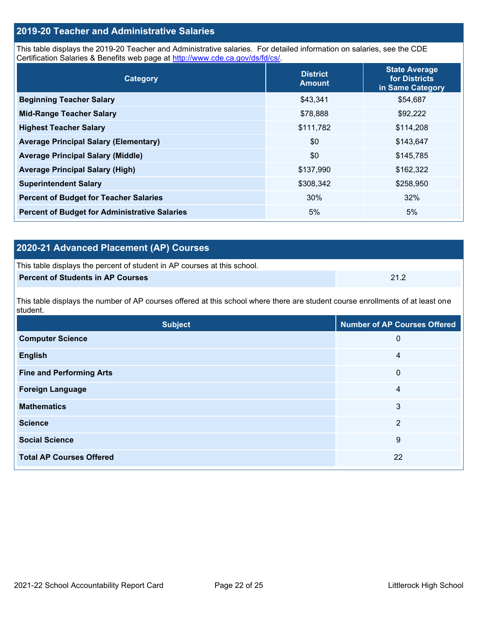# **2019-20 Teacher and Administrative Salaries**

This table displays the 2019-20 Teacher and Administrative salaries. For detailed information on salaries, see the CDE Certification Salaries & Benefits web page at [http://www.cde.ca.gov/ds/fd/cs/.](http://www.cde.ca.gov/ds/fd/cs/)

| Category                                             | <b>District</b><br><b>Amount</b> | <b>State Average</b><br>for Districts<br>in Same Category |
|------------------------------------------------------|----------------------------------|-----------------------------------------------------------|
| <b>Beginning Teacher Salary</b>                      | \$43,341                         | \$54,687                                                  |
| <b>Mid-Range Teacher Salary</b>                      | \$78,888                         | \$92,222                                                  |
| <b>Highest Teacher Salary</b>                        | \$111,782                        | \$114,208                                                 |
| <b>Average Principal Salary (Elementary)</b>         | \$0                              | \$143,647                                                 |
| <b>Average Principal Salary (Middle)</b>             | \$0                              | \$145,785                                                 |
| <b>Average Principal Salary (High)</b>               | \$137,990                        | \$162,322                                                 |
| <b>Superintendent Salary</b>                         | \$308,342                        | \$258,950                                                 |
| <b>Percent of Budget for Teacher Salaries</b>        | 30%                              | 32%                                                       |
| <b>Percent of Budget for Administrative Salaries</b> | 5%                               | 5%                                                        |

# **2020-21 Advanced Placement (AP) Courses**

| This table displays the percent of student in AP courses at this school. |      |
|--------------------------------------------------------------------------|------|
| Percent of Students in AP Courses                                        | 21.2 |

This table displays the number of AP courses offered at this school where there are student course enrollments of at least one student.

| <b>Subject</b>                  | <b>Number of AP Courses Offered</b> |
|---------------------------------|-------------------------------------|
| <b>Computer Science</b>         | 0                                   |
| <b>English</b>                  | 4                                   |
| <b>Fine and Performing Arts</b> | $\mathbf 0$                         |
| <b>Foreign Language</b>         | 4                                   |
| <b>Mathematics</b>              | 3                                   |
| <b>Science</b>                  | 2                                   |
| <b>Social Science</b>           | 9                                   |
| <b>Total AP Courses Offered</b> | 22                                  |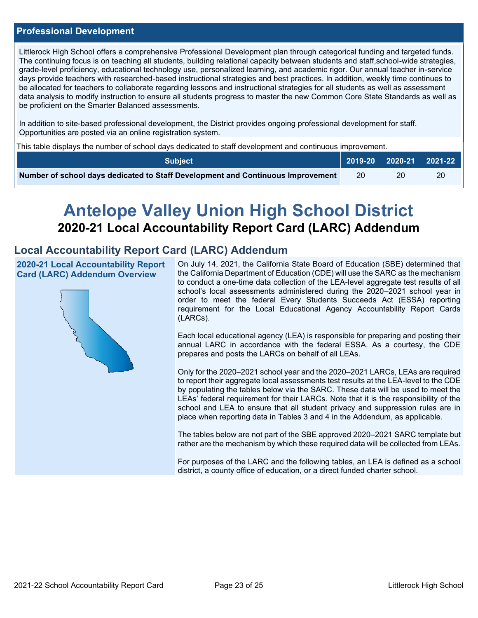### **Professional Development**

Littlerock High School offers a comprehensive Professional Development plan through categorical funding and targeted funds. The continuing focus is on teaching all students, building relational capacity between students and staff,school-wide strategies, grade-level proficiency, educational technology use, personalized learning, and academic rigor. Our annual teacher in-service days provide teachers with researched-based instructional strategies and best practices. In addition, weekly time continues to be allocated for teachers to collaborate regarding lessons and instructional strategies for all students as well as assessment data analysis to modify instruction to ensure all students progress to master the new Common Core State Standards as well as be proficient on the Smarter Balanced assessments.

In addition to site-based professional development, the District provides ongoing professional development for staff. Opportunities are posted via an online registration system.

This table displays the number of school days dedicated to staff development and continuous improvement.

| <b>Subject</b>                                                                  |  | $\big\vert$ 2019-20 $\big\vert$ 2020-21 $\big\vert$ 2 <u>021-22</u> $\big\vert$ |
|---------------------------------------------------------------------------------|--|---------------------------------------------------------------------------------|
| Number of school days dedicated to Staff Development and Continuous Improvement |  | 20                                                                              |

# **Antelope Valley Union High School District 2020-21 Local Accountability Report Card (LARC) Addendum**

# **Local Accountability Report Card (LARC) Addendum**

**2020-21 Local Accountability Report Card (LARC) Addendum Overview**



On July 14, 2021, the California State Board of Education (SBE) determined that the California Department of Education (CDE) will use the SARC as the mechanism to conduct a one-time data collection of the LEA-level aggregate test results of all school's local assessments administered during the 2020–2021 school year in order to meet the federal Every Students Succeeds Act (ESSA) reporting requirement for the Local Educational Agency Accountability Report Cards (LARCs).

Each local educational agency (LEA) is responsible for preparing and posting their annual LARC in accordance with the federal ESSA. As a courtesy, the CDE prepares and posts the LARCs on behalf of all LEAs.

Only for the 2020–2021 school year and the 2020–2021 LARCs, LEAs are required to report their aggregate local assessments test results at the LEA-level to the CDE by populating the tables below via the SARC. These data will be used to meet the LEAs' federal requirement for their LARCs. Note that it is the responsibility of the school and LEA to ensure that all student privacy and suppression rules are in place when reporting data in Tables 3 and 4 in the Addendum, as applicable.

The tables below are not part of the SBE approved 2020–2021 SARC template but rather are the mechanism by which these required data will be collected from LEAs.

For purposes of the LARC and the following tables, an LEA is defined as a school district, a county office of education, or a direct funded charter school.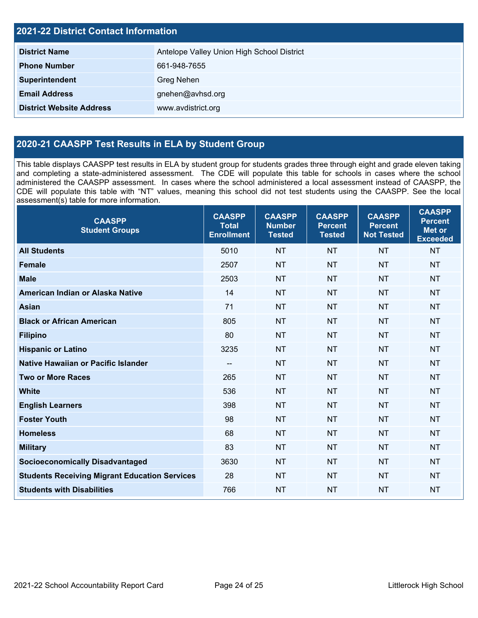| <b>2021-22 District Contact Information</b> |                                            |  |  |  |
|---------------------------------------------|--------------------------------------------|--|--|--|
| <b>District Name</b>                        | Antelope Valley Union High School District |  |  |  |
| <b>Phone Number</b>                         | 661-948-7655                               |  |  |  |
| Superintendent                              | Greg Nehen                                 |  |  |  |
| <b>Email Address</b>                        | gnehen@avhsd.org                           |  |  |  |
| <b>District Website Address</b>             | www.avdistrict.org                         |  |  |  |

# **2020-21 CAASPP Test Results in ELA by Student Group**

This table displays CAASPP test results in ELA by student group for students grades three through eight and grade eleven taking and completing a state-administered assessment. The CDE will populate this table for schools in cases where the school administered the CAASPP assessment. In cases where the school administered a local assessment instead of CAASPP, the CDE will populate this table with "NT" values, meaning this school did not test students using the CAASPP. See the local assessment(s) table for more information.

| <b>CAASPP</b><br><b>Student Groups</b>               | <b>CAASPP</b><br><b>Total</b><br><b>Enrollment</b> | <b>CAASPP</b><br><b>Number</b><br><b>Tested</b> | <b>CAASPP</b><br><b>Percent</b><br><b>Tested</b> | <b>CAASPP</b><br><b>Percent</b><br><b>Not Tested</b> | <b>CAASPP</b><br><b>Percent</b><br><b>Met or</b><br><b>Exceeded</b> |
|------------------------------------------------------|----------------------------------------------------|-------------------------------------------------|--------------------------------------------------|------------------------------------------------------|---------------------------------------------------------------------|
| <b>All Students</b>                                  | 5010                                               | <b>NT</b>                                       | <b>NT</b>                                        | <b>NT</b>                                            | <b>NT</b>                                                           |
| <b>Female</b>                                        | 2507                                               | <b>NT</b>                                       | <b>NT</b>                                        | <b>NT</b>                                            | <b>NT</b>                                                           |
| <b>Male</b>                                          | 2503                                               | <b>NT</b>                                       | <b>NT</b>                                        | <b>NT</b>                                            | <b>NT</b>                                                           |
| American Indian or Alaska Native                     | 14                                                 | <b>NT</b>                                       | <b>NT</b>                                        | <b>NT</b>                                            | <b>NT</b>                                                           |
| <b>Asian</b>                                         | 71                                                 | <b>NT</b>                                       | <b>NT</b>                                        | <b>NT</b>                                            | <b>NT</b>                                                           |
| <b>Black or African American</b>                     | 805                                                | <b>NT</b>                                       | <b>NT</b>                                        | <b>NT</b>                                            | <b>NT</b>                                                           |
| <b>Filipino</b>                                      | 80                                                 | <b>NT</b>                                       | <b>NT</b>                                        | <b>NT</b>                                            | <b>NT</b>                                                           |
| <b>Hispanic or Latino</b>                            | 3235                                               | <b>NT</b>                                       | <b>NT</b>                                        | <b>NT</b>                                            | <b>NT</b>                                                           |
| Native Hawaiian or Pacific Islander                  | $\qquad \qquad -$                                  | <b>NT</b>                                       | <b>NT</b>                                        | <b>NT</b>                                            | <b>NT</b>                                                           |
| <b>Two or More Races</b>                             | 265                                                | <b>NT</b>                                       | <b>NT</b>                                        | <b>NT</b>                                            | <b>NT</b>                                                           |
| <b>White</b>                                         | 536                                                | <b>NT</b>                                       | <b>NT</b>                                        | <b>NT</b>                                            | <b>NT</b>                                                           |
| <b>English Learners</b>                              | 398                                                | <b>NT</b>                                       | <b>NT</b>                                        | <b>NT</b>                                            | <b>NT</b>                                                           |
| <b>Foster Youth</b>                                  | 98                                                 | <b>NT</b>                                       | <b>NT</b>                                        | <b>NT</b>                                            | <b>NT</b>                                                           |
| <b>Homeless</b>                                      | 68                                                 | <b>NT</b>                                       | <b>NT</b>                                        | <b>NT</b>                                            | <b>NT</b>                                                           |
| <b>Military</b>                                      | 83                                                 | <b>NT</b>                                       | <b>NT</b>                                        | <b>NT</b>                                            | <b>NT</b>                                                           |
| <b>Socioeconomically Disadvantaged</b>               | 3630                                               | <b>NT</b>                                       | <b>NT</b>                                        | <b>NT</b>                                            | <b>NT</b>                                                           |
| <b>Students Receiving Migrant Education Services</b> | 28                                                 | <b>NT</b>                                       | <b>NT</b>                                        | <b>NT</b>                                            | <b>NT</b>                                                           |
| <b>Students with Disabilities</b>                    | 766                                                | <b>NT</b>                                       | <b>NT</b>                                        | <b>NT</b>                                            | <b>NT</b>                                                           |